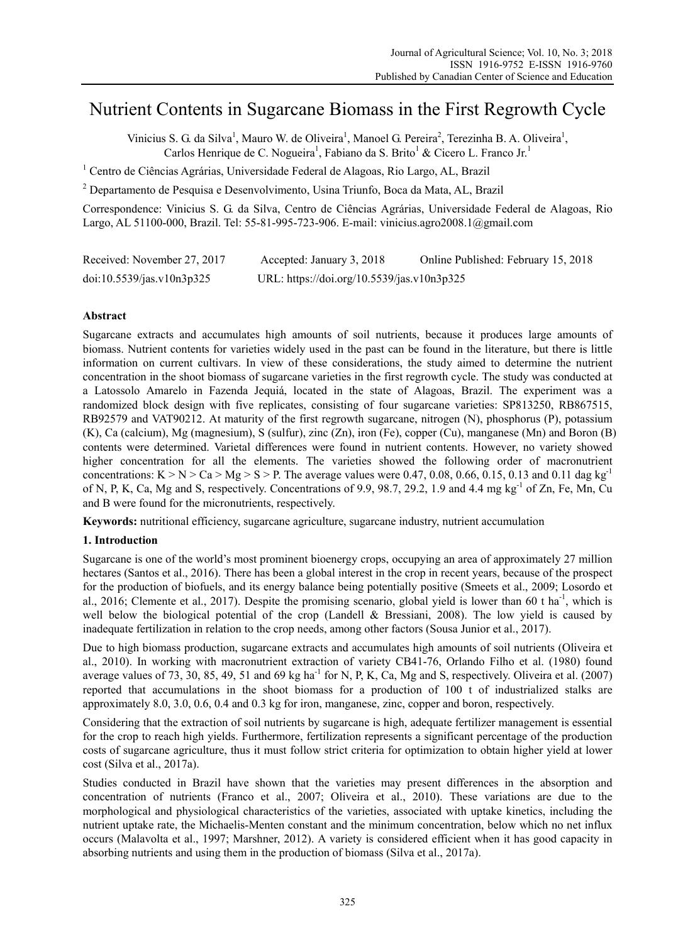# Nutrient Contents in Sugarcane Biomass in the First Regrowth Cycle

Vinicius S. G. da Silva<sup>1</sup>, Mauro W. de Oliveira<sup>1</sup>, Manoel G. Pereira<sup>2</sup>, Terezinha B. A. Oliveira<sup>1</sup>, Carlos Henrique de C. Nogueira<sup>1</sup>, Fabiano da S. Brito<sup>1</sup> & Cicero L. Franco Jr.<sup>1</sup>

<sup>1</sup> Centro de Ciências Agrárias, Universidade Federal de Alagoas, Rio Largo, AL, Brazil

<sup>2</sup> Departamento de Pesquisa e Desenvolvimento, Usina Triunfo, Boca da Mata, AL, Brazil

Correspondence: Vinicius S. G. da Silva, Centro de Ciências Agrárias, Universidade Federal de Alagoas, Rio Largo, AL 51100-000, Brazil. Tel: 55-81-995-723-906. E-mail: vinicius.agro2008.1@gmail.com

| Received: November 27, 2017 | Accepted: January 3, 2018                  | Online Published: February 15, 2018 |
|-----------------------------|--------------------------------------------|-------------------------------------|
| doi:10.5539/jas.v10n3p325   | URL: https://doi.org/10.5539/jas.v10n3p325 |                                     |

## **Abstract**

Sugarcane extracts and accumulates high amounts of soil nutrients, because it produces large amounts of biomass. Nutrient contents for varieties widely used in the past can be found in the literature, but there is little information on current cultivars. In view of these considerations, the study aimed to determine the nutrient concentration in the shoot biomass of sugarcane varieties in the first regrowth cycle. The study was conducted at a Latossolo Amarelo in Fazenda Jequiá, located in the state of Alagoas, Brazil. The experiment was a randomized block design with five replicates, consisting of four sugarcane varieties: SP813250, RB867515, RB92579 and VAT90212. At maturity of the first regrowth sugarcane, nitrogen (N), phosphorus (P), potassium (K), Ca (calcium), Mg (magnesium), S (sulfur), zinc (Zn), iron (Fe), copper (Cu), manganese (Mn) and Boron (B) contents were determined. Varietal differences were found in nutrient contents. However, no variety showed higher concentration for all the elements. The varieties showed the following order of macronutrient concentrations: K > N > Ca > Mg > S > P. The average values were 0.47, 0.08, 0.66, 0.15, 0.13 and 0.11 dag kg<sup>-1</sup> of N, P, K, Ca, Mg and S, respectively. Concentrations of 9.9, 98.7, 29.2, 1.9 and 4.4 mg kg<sup>-1</sup> of Zn, Fe, Mn, Cu and B were found for the micronutrients, respectively.

**Keywords:** nutritional efficiency, sugarcane agriculture, sugarcane industry, nutrient accumulation

#### **1. Introduction**

Sugarcane is one of the world's most prominent bioenergy crops, occupying an area of approximately 27 million hectares (Santos et al., 2016). There has been a global interest in the crop in recent years, because of the prospect for the production of biofuels, and its energy balance being potentially positive (Smeets et al., 2009; Losordo et al., 2016; Clemente et al., 2017). Despite the promising scenario, global yield is lower than 60 t ha<sup>-1</sup>, which is well below the biological potential of the crop (Landell & Bressiani, 2008). The low yield is caused by inadequate fertilization in relation to the crop needs, among other factors (Sousa Junior et al., 2017).

Due to high biomass production, sugarcane extracts and accumulates high amounts of soil nutrients (Oliveira et al., 2010). In working with macronutrient extraction of variety CB41-76, Orlando Filho et al. (1980) found average values of 73, 30, 85, 49, 51 and 69 kg ha<sup>-1</sup> for N, P, K, Ca, Mg and S, respectively. Oliveira et al. (2007) reported that accumulations in the shoot biomass for a production of 100 t of industrialized stalks are approximately 8.0, 3.0, 0.6, 0.4 and 0.3 kg for iron, manganese, zinc, copper and boron, respectively.

Considering that the extraction of soil nutrients by sugarcane is high, adequate fertilizer management is essential for the crop to reach high yields. Furthermore, fertilization represents a significant percentage of the production costs of sugarcane agriculture, thus it must follow strict criteria for optimization to obtain higher yield at lower cost (Silva et al., 2017a).

Studies conducted in Brazil have shown that the varieties may present differences in the absorption and concentration of nutrients (Franco et al., 2007; Oliveira et al., 2010). These variations are due to the morphological and physiological characteristics of the varieties, associated with uptake kinetics, including the nutrient uptake rate, the Michaelis-Menten constant and the minimum concentration, below which no net influx occurs (Malavolta et al., 1997; Marshner, 2012). A variety is considered efficient when it has good capacity in absorbing nutrients and using them in the production of biomass (Silva et al., 2017a).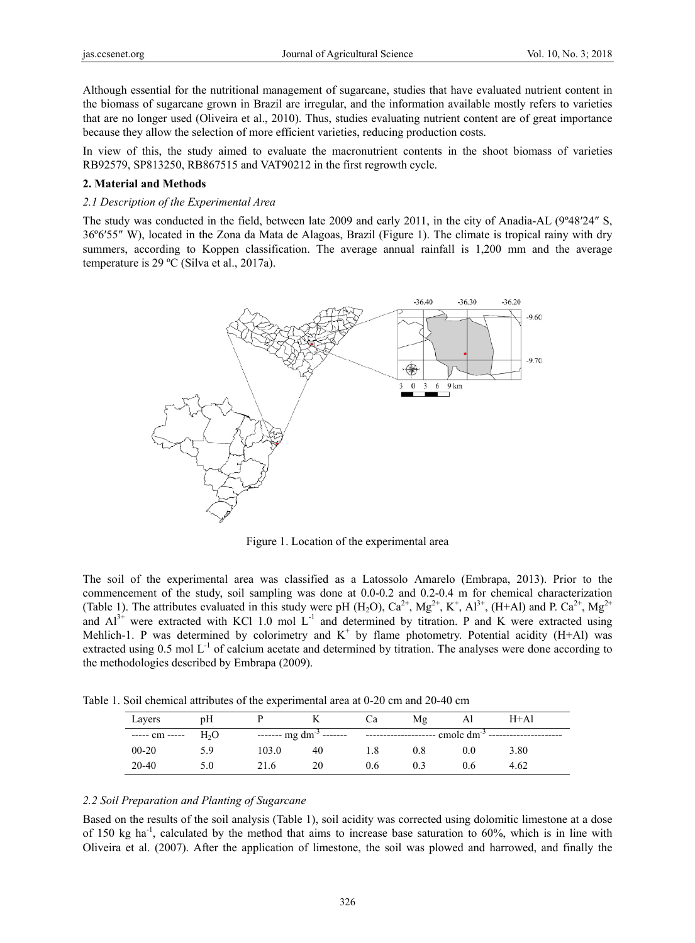Although essential for the nutritional management of sugarcane, studies that have evaluated nutrient content in the biomass of sugarcane grown in Brazil are irregular, and the information available mostly refers to varieties that are no longer used (Oliveira et al., 2010). Thus, studies evaluating nutrient content are of great importance because they allow the selection of more efficient varieties, reducing production costs.

In view of this, the study aimed to evaluate the macronutrient contents in the shoot biomass of varieties RB92579, SP813250, RB867515 and VAT90212 in the first regrowth cycle.

## **2. Material and Methods**

#### *2.1 Description of the Experimental Area*

The study was conducted in the field, between late 2009 and early 2011, in the city of Anadia-AL (9º48′24″ S, 36º6′55″ W), located in the Zona da Mata de Alagoas, Brazil (Figure 1). The climate is tropical rainy with dry summers, according to Koppen classification. The average annual rainfall is 1,200 mm and the average temperature is 29 ºC (Silva et al., 2017a).



Figure 1. Location of the experimental area

The soil of the experimental area was classified as a Latossolo Amarelo (Embrapa, 2013). Prior to the commencement of the study, soil sampling was done at 0.0-0.2 and 0.2-0.4 m for chemical characterization (Table 1). The attributes evaluated in this study were pH  $(H_2O)$ ,  $Ca^{2+}$ ,  $Mg^{2+}$ ,  $K^+$ ,  $Al^{3+}$ ,  $(H+A)$  and P.  $Ca^{2+}$ ,  $Mg^{2+}$ and  $Al^{3+}$  were extracted with KCl 1.0 mol L<sup>-1</sup> and determined by titration. P and K were extracted using Mehlich-1. P was determined by colorimetry and  $K^+$  by flame photometry. Potential acidity (H+Al) was extracted using  $0.5 \text{ mol L}^{-1}$  of calcium acetate and determined by titration. The analyses were done according to the methodologies described by Embrapa (2009).

Table 1. Soil chemical attributes of the experimental area at 0-20 cm and 20-40 cm

| Layers         | pΗ  |       |                                     | Ċа  | Mg  | Al              | $H+A1$ |
|----------------|-----|-------|-------------------------------------|-----|-----|-----------------|--------|
| ----- cm ----- | H,O |       | ------- mg dm <sup>-3</sup> ------- |     |     | emole $dm^{-3}$ |        |
| $00 - 20$      | 59  | 103.0 | 40                                  | 1.8 | 0.8 | 0.0             | 3.80   |
| 20-40          | 5.0 | 21.6  | 20                                  | 0.6 |     | 0.6             | 4.62   |

#### *2.2 Soil Preparation and Planting of Sugarcane*

Based on the results of the soil analysis (Table 1), soil acidity was corrected using dolomitic limestone at a dose of 150 kg ha<sup>-1</sup>, calculated by the method that aims to increase base saturation to  $60\%$ , which is in line with Oliveira et al. (2007). After the application of limestone, the soil was plowed and harrowed, and finally the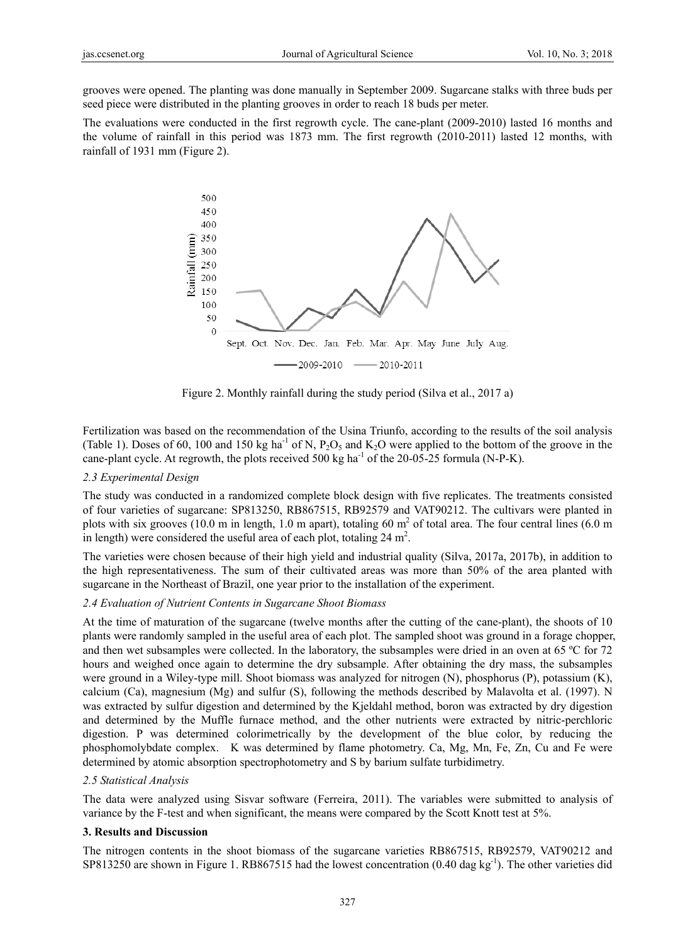grooves were opened. The planting was done manually in September 2009. Sugarcane stalks with three buds per seed piece were distributed in the planting grooves in order to reach 18 buds per meter.

The evaluations were conducted in the first regrowth cycle. The cane-plant (2009-2010) lasted 16 months and the volume of rainfall in this period was 1873 mm. The first regrowth (2010-2011) lasted 12 months, with rainfall of 1931 mm (Figure 2).



Figure 2. Monthly rainfall during the study period (Silva et al., 2017 a)

Fertilization was based on the recommendation of the Usina Triunfo, according to the results of the soil analysis (Table 1). Doses of 60, 100 and 150 kg ha<sup>-1</sup> of N,  $P_2O_5$  and  $K_2O$  were applied to the bottom of the groove in the cane-plant cycle. At regrowth, the plots received 500 kg ha<sup>-1</sup> of the 20-05-25 formula (N-P-K).

## *2.3 Experimental Design*

The study was conducted in a randomized complete block design with five replicates. The treatments consisted of four varieties of sugarcane: SP813250, RB867515, RB92579 and VAT90212. The cultivars were planted in plots with six grooves (10.0 m in length, 1.0 m apart), totaling 60  $m<sup>2</sup>$  of total area. The four central lines (6.0 m in length) were considered the useful area of each plot, totaling  $24 \text{ m}^2$ .

The varieties were chosen because of their high yield and industrial quality (Silva, 2017a, 2017b), in addition to the high representativeness. The sum of their cultivated areas was more than 50% of the area planted with sugarcane in the Northeast of Brazil, one year prior to the installation of the experiment.

#### *2.4 Evaluation of Nutrient Contents in Sugarcane Shoot Biomass*

At the time of maturation of the sugarcane (twelve months after the cutting of the cane-plant), the shoots of 10 plants were randomly sampled in the useful area of each plot. The sampled shoot was ground in a forage chopper, and then wet subsamples were collected. In the laboratory, the subsamples were dried in an oven at 65 ºC for 72 hours and weighed once again to determine the dry subsample. After obtaining the dry mass, the subsamples were ground in a Wiley-type mill. Shoot biomass was analyzed for nitrogen (N), phosphorus (P), potassium (K), calcium (Ca), magnesium (Mg) and sulfur (S), following the methods described by Malavolta et al. (1997). N was extracted by sulfur digestion and determined by the Kjeldahl method, boron was extracted by dry digestion and determined by the Muffle furnace method, and the other nutrients were extracted by nitric-perchloric digestion. P was determined colorimetrically by the development of the blue color, by reducing the phosphomolybdate complex. K was determined by flame photometry. Ca, Mg, Mn, Fe, Zn, Cu and Fe were determined by atomic absorption spectrophotometry and S by barium sulfate turbidimetry.

#### *2.5 Statistical Analysis*

The data were analyzed using Sisvar software (Ferreira, 2011). The variables were submitted to analysis of variance by the F-test and when significant, the means were compared by the Scott Knott test at 5%.

## **3. Results and Discussion**

The nitrogen contents in the shoot biomass of the sugarcane varieties RB867515, RB92579, VAT90212 and SP813250 are shown in Figure 1. RB867515 had the lowest concentration  $(0.40 \text{ dag kg}^{-1})$ . The other varieties did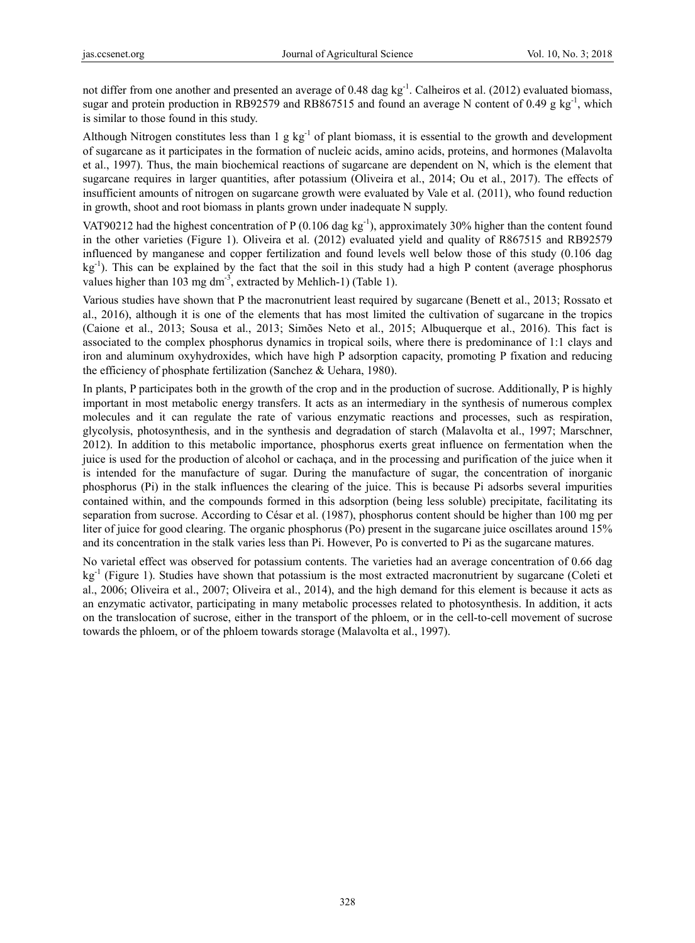not differ from one another and presented an average of 0.48 dag kg<sup>-1</sup>. Calheiros et al. (2012) evaluated biomass, sugar and protein production in RB92579 and RB867515 and found an average N content of 0.49 g kg<sup>-1</sup>, which is similar to those found in this study.

Although Nitrogen constitutes less than  $1 \text{ g kg}^{-1}$  of plant biomass, it is essential to the growth and development of sugarcane as it participates in the formation of nucleic acids, amino acids, proteins, and hormones (Malavolta et al., 1997). Thus, the main biochemical reactions of sugarcane are dependent on N, which is the element that sugarcane requires in larger quantities, after potassium (Oliveira et al., 2014; Ou et al., 2017). The effects of insufficient amounts of nitrogen on sugarcane growth were evaluated by Vale et al. (2011), who found reduction in growth, shoot and root biomass in plants grown under inadequate N supply.

VAT90212 had the highest concentration of P (0.106 dag kg<sup>-1</sup>), approximately 30% higher than the content found in the other varieties (Figure 1). Oliveira et al. (2012) evaluated yield and quality of R867515 and RB92579 influenced by manganese and copper fertilization and found levels well below those of this study (0.106 dag  $kg^{-1}$ ). This can be explained by the fact that the soil in this study had a high P content (average phosphorus values higher than 103 mg dm<sup>-3</sup>, extracted by Mehlich-1) (Table 1).

Various studies have shown that P the macronutrient least required by sugarcane (Benett et al., 2013; Rossato et al., 2016), although it is one of the elements that has most limited the cultivation of sugarcane in the tropics (Caione et al., 2013; Sousa et al., 2013; Simões Neto et al., 2015; Albuquerque et al., 2016). This fact is associated to the complex phosphorus dynamics in tropical soils, where there is predominance of 1:1 clays and iron and aluminum oxyhydroxides, which have high P adsorption capacity, promoting P fixation and reducing the efficiency of phosphate fertilization (Sanchez & Uehara, 1980).

In plants, P participates both in the growth of the crop and in the production of sucrose. Additionally, P is highly important in most metabolic energy transfers. It acts as an intermediary in the synthesis of numerous complex molecules and it can regulate the rate of various enzymatic reactions and processes, such as respiration, glycolysis, photosynthesis, and in the synthesis and degradation of starch (Malavolta et al., 1997; Marschner, 2012). In addition to this metabolic importance, phosphorus exerts great influence on fermentation when the juice is used for the production of alcohol or cachaça, and in the processing and purification of the juice when it is intended for the manufacture of sugar. During the manufacture of sugar, the concentration of inorganic phosphorus (Pi) in the stalk influences the clearing of the juice. This is because Pi adsorbs several impurities contained within, and the compounds formed in this adsorption (being less soluble) precipitate, facilitating its separation from sucrose. According to César et al. (1987), phosphorus content should be higher than 100 mg per liter of juice for good clearing. The organic phosphorus (Po) present in the sugarcane juice oscillates around 15% and its concentration in the stalk varies less than Pi. However, Po is converted to Pi as the sugarcane matures.

No varietal effect was observed for potassium contents. The varieties had an average concentration of 0.66 dag kg<sup>-1</sup> (Figure 1). Studies have shown that potassium is the most extracted macronutrient by sugarcane (Coleti et al., 2006; Oliveira et al., 2007; Oliveira et al., 2014), and the high demand for this element is because it acts as an enzymatic activator, participating in many metabolic processes related to photosynthesis. In addition, it acts on the translocation of sucrose, either in the transport of the phloem, or in the cell-to-cell movement of sucrose towards the phloem, or of the phloem towards storage (Malavolta et al., 1997).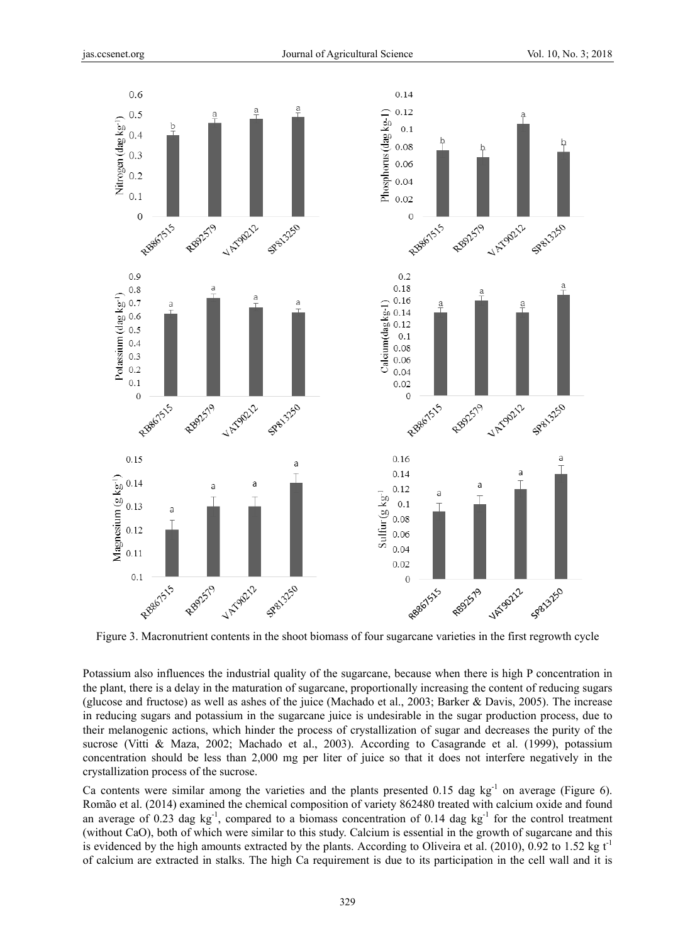

Figure 3. Macronutrient contents in the shoot biomass of four sugarcane varieties in the first regrowth cycle

Potassium also influences the industrial quality of the sugarcane, because when there is high P concentration in the plant, there is a delay in the maturation of sugarcane, proportionally increasing the content of reducing sugars (glucose and fructose) as well as ashes of the juice (Machado et al., 2003; Barker & Davis, 2005). The increase in reducing sugars and potassium in the sugarcane juice is undesirable in the sugar production process, due to their melanogenic actions, which hinder the process of crystallization of sugar and decreases the purity of the sucrose (Vitti & Maza, 2002; Machado et al., 2003). According to Casagrande et al. (1999), potassium concentration should be less than 2,000 mg per liter of juice so that it does not interfere negatively in the crystallization process of the sucrose.

Ca contents were similar among the varieties and the plants presented  $0.15$  dag kg<sup>-1</sup> on average (Figure 6). Romão et al. (2014) examined the chemical composition of variety 862480 treated with calcium oxide and found an average of 0.23 dag  $kg^{-1}$ , compared to a biomass concentration of 0.14 dag  $kg^{-1}$  for the control treatment (without CaO), both of which were similar to this study. Calcium is essential in the growth of sugarcane and this is evidenced by the high amounts extracted by the plants. According to Oliveira et al. (2010), 0.92 to 1.52 kg  $t<sup>-1</sup>$ of calcium are extracted in stalks. The high Ca requirement is due to its participation in the cell wall and it is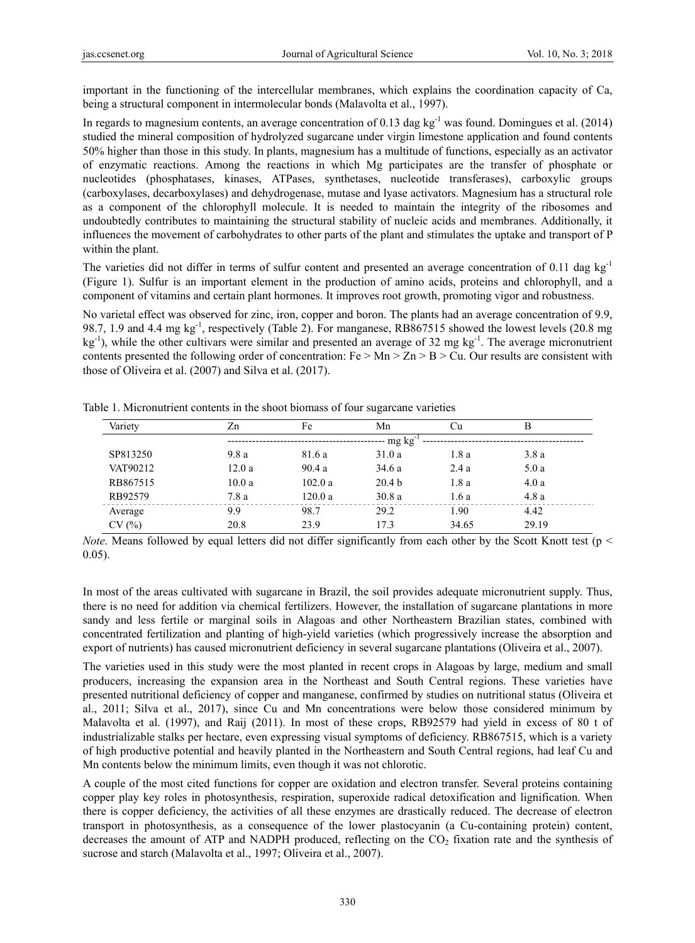important in the functioning of the intercellular membranes, which explains the coordination capacity of Ca, being a structural component in intermolecular bonds (Malavolta et al., 1997).

In regards to magnesium contents, an average concentration of 0.13 dag kg<sup>-1</sup> was found. Domingues et al. (2014) studied the mineral composition of hydrolyzed sugarcane under virgin limestone application and found contents 50% higher than those in this study. In plants, magnesium has a multitude of functions, especially as an activator of enzymatic reactions. Among the reactions in which Mg participates are the transfer of phosphate or nucleotides (phosphatases, kinases, ATPases, synthetases, nucleotide transferases), carboxylic groups (carboxylases, decarboxylases) and dehydrogenase, mutase and lyase activators. Magnesium has a structural role as a component of the chlorophyll molecule. It is needed to maintain the integrity of the ribosomes and undoubtedly contributes to maintaining the structural stability of nucleic acids and membranes. Additionally, it influences the movement of carbohydrates to other parts of the plant and stimulates the uptake and transport of P within the plant.

The varieties did not differ in terms of sulfur content and presented an average concentration of 0.11 dag  $kg^{-1}$ (Figure 1). Sulfur is an important element in the production of amino acids, proteins and chlorophyll, and a component of vitamins and certain plant hormones. It improves root growth, promoting vigor and robustness.

No varietal effect was observed for zinc, iron, copper and boron. The plants had an average concentration of 9.9, 98.7, 1.9 and 4.4 mg kg-1, respectively (Table 2). For manganese, RB867515 showed the lowest levels (20.8 mg kg-1), while the other cultivars were similar and presented an average of 32 mg kg-1. The average micronutrient contents presented the following order of concentration:  $Fe > Mn > Zn > B > Cu$ . Our results are consistent with those of Oliveira et al. (2007) and Silva et al. (2017).

| Variety  | Zn    | Fe                    | Mn                | Сu    | в     |  |  |  |  |
|----------|-------|-----------------------|-------------------|-------|-------|--|--|--|--|
|          |       | -- mg kg <sup>-</sup> |                   |       |       |  |  |  |  |
| SP813250 | 9.8a  | 81.6 a                | 31.0a             | 1.8 a | 3.8a  |  |  |  |  |
| VAT90212 | 12.0a | 90.4a                 | 34.6a             | 2.4a  | 5.0a  |  |  |  |  |
| RB867515 | 10.0a | 102.0 a               | 20.4 <sub>b</sub> | 1.8a  | 4.0a  |  |  |  |  |
| RB92579  | 7.8a  | 120.0a                | 30.8a             | 1.6a  | 4.8 a |  |  |  |  |
| Average  | 9.9   | 98.7                  | 29.2              | 1.90  | 4.42  |  |  |  |  |
| CV(%)    | 20.8  | 23.9                  | 17.3              | 34.65 | 29.19 |  |  |  |  |

Table 1. Micronutrient contents in the shoot biomass of four sugarcane varieties

*Note*. Means followed by equal letters did not differ significantly from each other by the Scott Knott test (p < 0.05).

In most of the areas cultivated with sugarcane in Brazil, the soil provides adequate micronutrient supply. Thus, there is no need for addition via chemical fertilizers. However, the installation of sugarcane plantations in more sandy and less fertile or marginal soils in Alagoas and other Northeastern Brazilian states, combined with concentrated fertilization and planting of high-yield varieties (which progressively increase the absorption and export of nutrients) has caused micronutrient deficiency in several sugarcane plantations (Oliveira et al., 2007).

The varieties used in this study were the most planted in recent crops in Alagoas by large, medium and small producers, increasing the expansion area in the Northeast and South Central regions. These varieties have presented nutritional deficiency of copper and manganese, confirmed by studies on nutritional status (Oliveira et al., 2011; Silva et al., 2017), since Cu and Mn concentrations were below those considered minimum by Malavolta et al. (1997), and Raij (2011). In most of these crops, RB92579 had yield in excess of 80 t of industrializable stalks per hectare, even expressing visual symptoms of deficiency. RB867515, which is a variety of high productive potential and heavily planted in the Northeastern and South Central regions, had leaf Cu and Mn contents below the minimum limits, even though it was not chlorotic.

A couple of the most cited functions for copper are oxidation and electron transfer. Several proteins containing copper play key roles in photosynthesis, respiration, superoxide radical detoxification and lignification. When there is copper deficiency, the activities of all these enzymes are drastically reduced. The decrease of electron transport in photosynthesis, as a consequence of the lower plastocyanin (a Cu-containing protein) content, decreases the amount of ATP and NADPH produced, reflecting on the  $CO<sub>2</sub>$  fixation rate and the synthesis of sucrose and starch (Malavolta et al., 1997; Oliveira et al., 2007).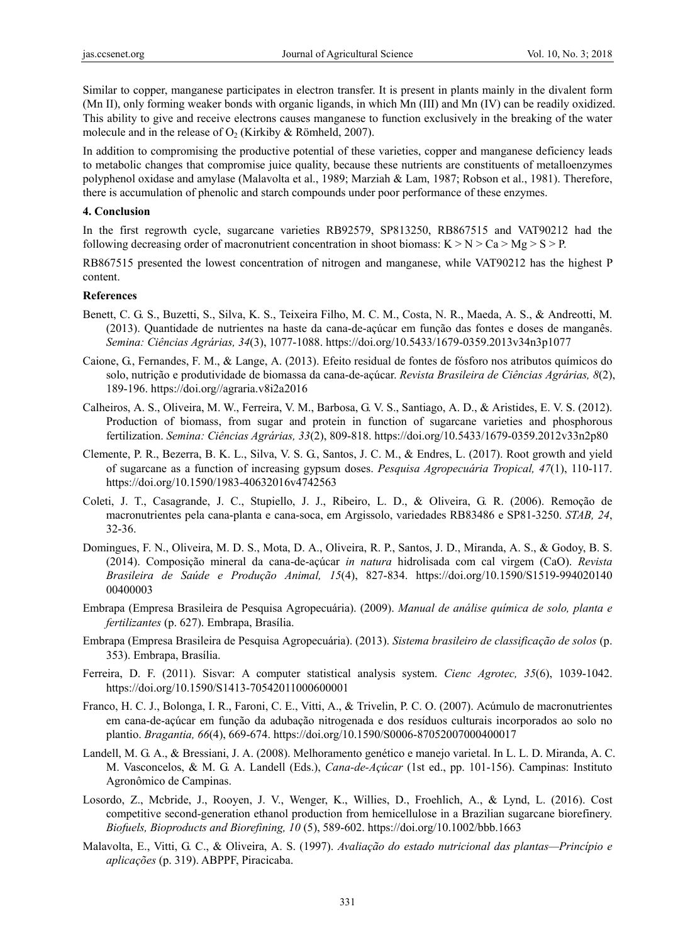Similar to copper, manganese participates in electron transfer. It is present in plants mainly in the divalent form (Mn II), only forming weaker bonds with organic ligands, in which Mn (III) and Mn (IV) can be readily oxidized. This ability to give and receive electrons causes manganese to function exclusively in the breaking of the water molecule and in the release of  $O_2$  (Kirkiby & Römheld, 2007).

In addition to compromising the productive potential of these varieties, copper and manganese deficiency leads to metabolic changes that compromise juice quality, because these nutrients are constituents of metalloenzymes polyphenol oxidase and amylase (Malavolta et al., 1989; Marziah & Lam, 1987; Robson et al., 1981). Therefore, there is accumulation of phenolic and starch compounds under poor performance of these enzymes.

#### **4. Conclusion**

In the first regrowth cycle, sugarcane varieties RB92579, SP813250, RB867515 and VAT90212 had the following decreasing order of macronutrient concentration in shoot biomass:  $K > N > Ca > Mg > S > P$ .

RB867515 presented the lowest concentration of nitrogen and manganese, while VAT90212 has the highest P content.

#### **References**

- Benett, C. G. S., Buzetti, S., Silva, K. S., Teixeira Filho, M. C. M., Costa, N. R., Maeda, A. S., & Andreotti, M. (2013). Quantidade de nutrientes na haste da cana-de-açúcar em função das fontes e doses de manganês. *Semina: Ciências Agrárias, 34*(3), 1077-1088. https://doi.org/10.5433/1679-0359.2013v34n3p1077
- Caione, G., Fernandes, F. M., & Lange, A. (2013). Efeito residual de fontes de fósforo nos atributos químicos do solo, nutrição e produtividade de biomassa da cana-de-açúcar. *Revista Brasileira de Ciências Agrárias, 8*(2), 189-196. https://doi.org//agraria.v8i2a2016
- Calheiros, A. S., Oliveira, M. W., Ferreira, V. M., Barbosa, G. V. S., Santiago, A. D., & Aristides, E. V. S. (2012). Production of biomass, from sugar and protein in function of sugarcane varieties and phosphorous fertilization. *Semina: Ciências Agrárias, 33*(2), 809-818. https://doi.org/10.5433/1679-0359.2012v33n2p80
- Clemente, P. R., Bezerra, B. K. L., Silva, V. S. G., Santos, J. C. M., & Endres, L. (2017). Root growth and yield of sugarcane as a function of increasing gypsum doses. *Pesquisa Agropecuária Tropical, 47*(1), 110-117. https://doi.org/10.1590/1983-40632016v4742563
- Coleti, J. T., Casagrande, J. C., Stupiello, J. J., Ribeiro, L. D., & Oliveira, G. R. (2006). Remoção de macronutrientes pela cana-planta e cana-soca, em Argissolo, variedades RB83486 e SP81-3250. *STAB, 24*, 32-36.
- Domingues, F. N., Oliveira, M. D. S., Mota, D. A., Oliveira, R. P., Santos, J. D., Miranda, A. S., & Godoy, B. S. (2014). Composição mineral da cana-de-açúcar *in natura* hidrolisada com cal virgem (CaO). *Revista Brasileira de Saúde e Produção Animal, 15*(4), 827-834. https://doi.org/10.1590/S1519-994020140 00400003
- Embrapa (Empresa Brasileira de Pesquisa Agropecuária). (2009). *Manual de análise química de solo, planta e fertilizantes* (p. 627). Embrapa, Brasília.
- Embrapa (Empresa Brasileira de Pesquisa Agropecuária). (2013). *Sistema brasileiro de classificação de solos* (p. 353). Embrapa, Brasília.
- Ferreira, D. F. (2011). Sisvar: A computer statistical analysis system. *Cienc Agrotec, 35*(6), 1039-1042. https://doi.org/10.1590/S1413-70542011000600001
- Franco, H. C. J., Bolonga, I. R., Faroni, C. E., Vitti, A., & Trivelin, P. C. O. (2007). Acúmulo de macronutrientes em cana-de-açúcar em função da adubação nitrogenada e dos resíduos culturais incorporados ao solo no plantio. *Bragantia, 66*(4), 669-674. https://doi.org/10.1590/S0006-87052007000400017
- Landell, M. G. A., & Bressiani, J. A. (2008). Melhoramento genético e manejo varietal. In L. L. D. Miranda, A. C. M. Vasconcelos, & M. G. A. Landell (Eds.), *Cana-de-Açúcar* (1st ed., pp. 101-156). Campinas: Instituto Agronômico de Campinas.
- Losordo, Z., Mcbride, J., Rooyen, J. V., Wenger, K., Willies, D., Froehlich, A., & Lynd, L. (2016). Cost competitive second-generation ethanol production from hemicellulose in a Brazilian sugarcane biorefinery. *Biofuels, Bioproducts and Biorefining, 10* (5), 589-602. https://doi.org/10.1002/bbb.1663
- Malavolta, E., Vitti, G. C., & Oliveira, A. S. (1997). *Avaliação do estado nutricional das plantas—Princípio e aplicações* (p. 319). ABPPF, Piracicaba.